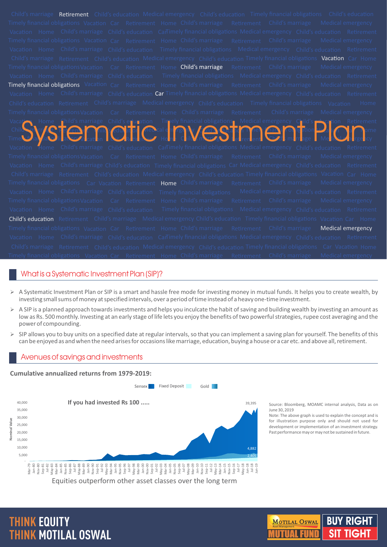| <b>Retirement</b> Child's education Medical emergency Child's education Timely financial obligations Child's education<br>Child's marriage                                                                                     |
|--------------------------------------------------------------------------------------------------------------------------------------------------------------------------------------------------------------------------------|
| imely financial obligations Vacation Car Retirement Home Child's marriage Retirement Child's marriage Medical emergency                                                                                                        |
| Vacation Home Child's marriage Child's education Carimely financial obligations Medical emergency Child's education Retirement                                                                                                 |
| imely financial obligations Vacation Car Retirement Home Child's marriage Retirement Child's marriage Medical emergency                                                                                                        |
| Vacation Home Child's marriage Child's education Timely financial obligations Medical emergency Child's education Retirement                                                                                                   |
| Child's marriage Retirement Child's education Medical emergency Child's education Timely financial obligations Vacation Car Home                                                                                               |
| imely financial obligations Vacation Car Retirement Home <b>Child's marriage</b> Retirement Child's marriage Medical emergency                                                                                                 |
| Vacation Home Child's marriage Child's education Timely financial obligations Medical emergency Child's education Retirement                                                                                                   |
| <b>Timely financial obligations</b> Vacation Car Retirement Home Child's marriage Retirement Child's marriage Medical emergency                                                                                                |
| Vacation Home Child's marriage Child's education Car Timely financial obligations Medical emergency Child's education Retirement                                                                                               |
| Child's education Retirement Child's marriage Medical emergency Child's education Timely financial obligations Vacation<br>Home                                                                                                |
| Timely financial obligations Vacation Car Retirement Home Child's marriage Retirement Child's marriage Medical emergency                                                                                                       |
|                                                                                                                                                                                                                                |
|                                                                                                                                                                                                                                |
| Vacation Home Child's marriage Child's education Timely financial obligations Medical emergency Child's education Retirement Child's education Retirement Child's education Retirement Child's education Retirement Child in t |
| acation Home Child's marriage Child's education Cantimely financial obligations Medical emergency Child's education Retirement                                                                                                 |
| imely financial obligations Vacation Car Retirement Home Child's marriage Retirement Child's marriage Medical emergency                                                                                                        |
| Vacation Home Child's marriage Child's education Timely financial obligations Car Medical emergency Child's education Retirement                                                                                               |
| Child's marriage Retirement Child's education Medical emergency Child's education Timely financial obligations Vacation Car Home                                                                                               |
| imely financial obligations Car Vacation Retirement Home Child's marriage Retirement Child's marriage Medical emergency                                                                                                        |
| Vacation Home Child's marriage Child's education Timely financial obligations Medical emergency Child's education Retirement                                                                                                   |
| Timely financial obligations Vacation Car Retirement Home Child's marriage Retirement Child's marriage Medical emergency                                                                                                       |
| Vacation Home Child's marriage Child's education Timely financial obligations Medical emergency Child's education Retirement                                                                                                   |
| Child's education Retirement Child's marriage Medical emergency Child's education Timely financial obligations Vacation Car Home                                                                                               |
| Timely financial obligations Vacation Car Retirement Home Child's marriage Retirement Child's marriage <b>Medical emergency</b>                                                                                                |
| Vacation Home Child's marriage Child's education CarTimely financial obligations Medical emergency Child's education Retirement                                                                                                |
| Child's marriage Retirement Child's education Medical emergency Child's education Timely financial obligations Car Vacation Home                                                                                               |
| Fimely financial obligations Vacation Car Retirement Home Child's marriage Retirement Child's marriage Medical emergency                                                                                                       |

# What is a Systematic Investment Plan (SIP)?

- $\triangleright$  A Systematic Investment Plan or SIP is a smart and hassle free mode for investing money in mutual funds. It helps you to create wealth, by investing small sums of money at specified intervals, over a period of time instead of a heavy one-time investment.
- Ø A SIP is a planned approach towards investments and helps you inculcate the habit of saving and building wealth by investing an amount as low as Rs. 500 monthly. Investing at an early stage of life lets you enjoy the benefits of two powerful strategies, rupee cost averaging and the power of compounding.
- $\triangleright$  SIP allows you to buy units on a specified date at regular intervals, so that you can implement a saving plan for yourself. The benefits of this can be enjoyed as and when the need arises for occasions like marriage, education, buying a house or a car etc. and above all, retirement.

## Avenues of savings and investments

## **Cumulative annualized returns from 1979-2019:**



Source: Bloomberg, MOAMC internal analysis, Data as on June 30, 2019

Note: The above graph is used to explain the concept and is for illustration purpose only and should not used for development or implementation of an investment strategy. Past performance may or may not be sustained in future.

# **THINK EQUITY THINK MOTILAL OSWAL**